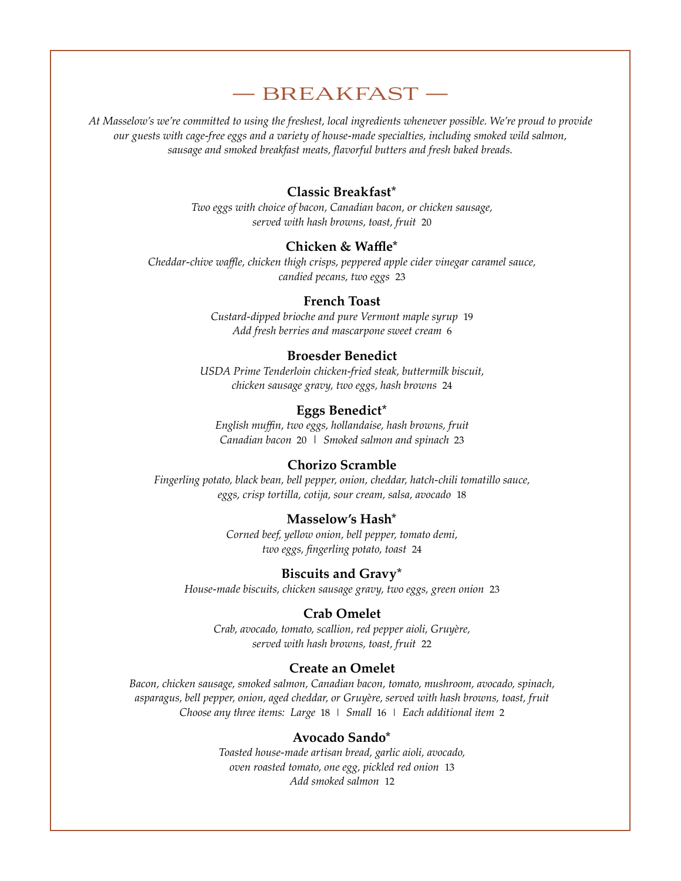# — BREAKFAST —

*At Masselow's we're committed to using the freshest, local ingredients whenever possible. We're proud to provide our guests with cage-free eggs and a variety of house-made specialties, including smoked wild salmon, sausage and smoked breakfast meats, flavorful butters and fresh baked breads.* 

# **Classic Breakfast\***

*Two eggs with choice of bacon, Canadian bacon, or chicken sausage, served with hash browns, toast, fruit* 20

# **Chicken & Waffle\***

*Cheddar-chive waffle, chicken thigh crisps, peppered apple cider vinegar caramel sauce, candied pecans, two eggs* 23

## **French Toast**

*Custard-dipped brioche and pure Vermont maple syrup* 19 *Add fresh berries and mascarpone sweet cream* 6

#### **Broesder Benedict**

*USDA Prime Tenderloin chicken-fried steak, buttermilk biscuit, chicken sausage gravy, two eggs, hash browns* 24

# **Eggs Benedict\***

*English muffin, two eggs, hollandaise, hash browns, fruit Canadian bacon* 20 *| Smoked salmon and spinach* 23

## **Chorizo Scramble**

*Fingerling potato, black bean, bell pepper, onion, cheddar, hatch-chili tomatillo sauce, eggs, crisp tortilla, cotija, sour cream, salsa, avocado* 18

#### **Masselow's Hash\***

*Corned beef, yellow onion, bell pepper, tomato demi, two eggs, fingerling potato, toast* 24

#### **Biscuits and Gravy\***

*House-made biscuits, chicken sausage gravy, two eggs, green onion* 23

#### **Crab Omelet**

*Crab, avocado, tomato, scallion, red pepper aioli, Gruyère, served with hash browns, toast, fruit* 22

#### **Create an Omelet**

*Bacon, chicken sausage, smoked salmon, Canadian bacon, tomato, mushroom, avocado, spinach, asparagus, bell pepper, onion, aged cheddar, or Gruyère, served with hash browns, toast, fruit Choose any three items: Large* 18 | *Small* 16 | *Each additional item* 2

## **Avocado Sando\***

*Toasted house-made artisan bread, garlic aioli, avocado, oven roasted tomato, one egg, pickled red onion* 13 *Add smoked salmon* 12